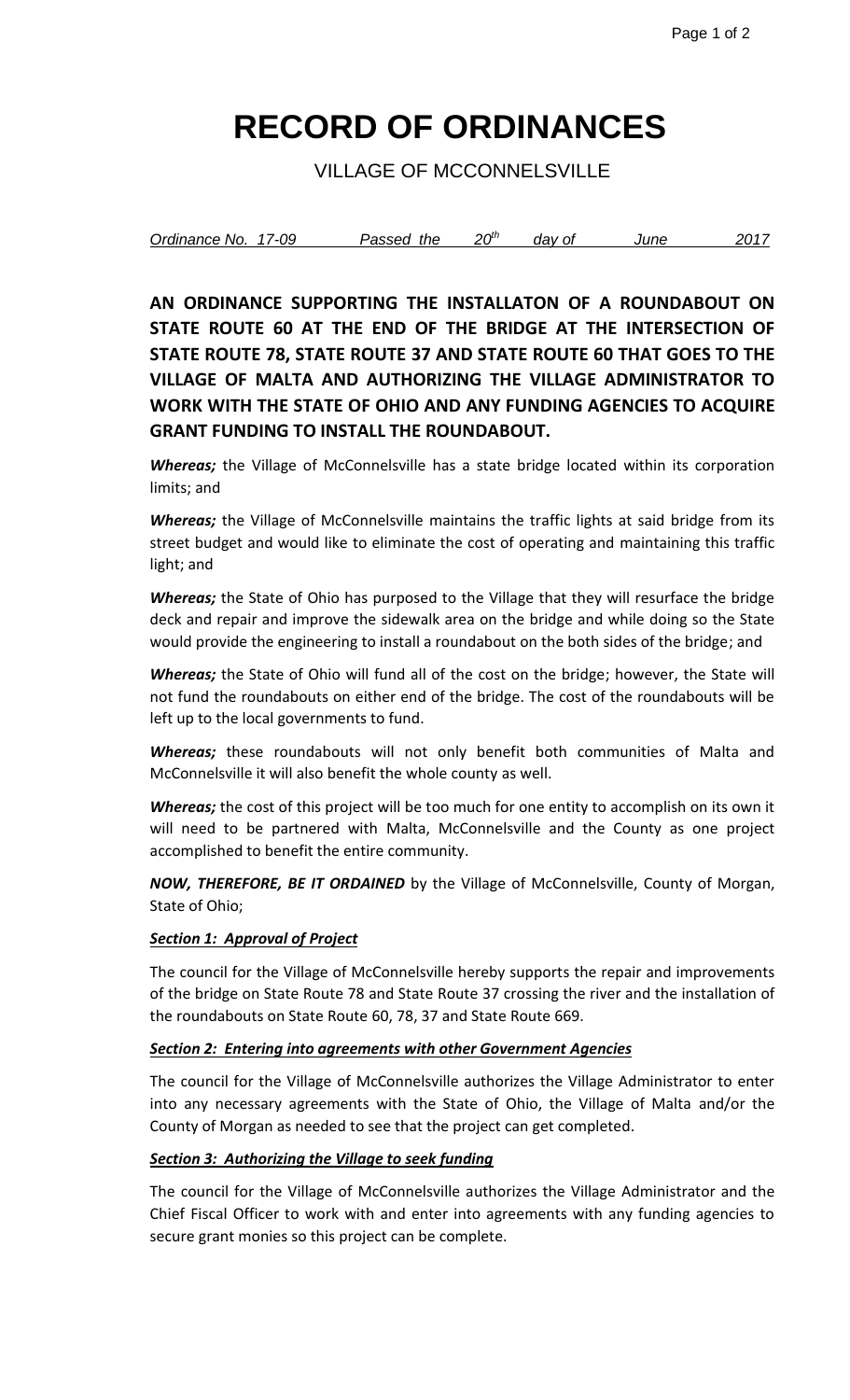# **RECORD OF ORDINANCES**

VILLAGE OF MCCONNELSVILLE

| Ordinance No. | 17-09 | the<br>Passed | $20^{\rm th}$ | dav of | June | 201 <sup>-</sup> |
|---------------|-------|---------------|---------------|--------|------|------------------|
|               |       |               |               |        |      |                  |

**AN ORDINANCE SUPPORTING THE INSTALLATON OF A ROUNDABOUT ON STATE ROUTE 60 AT THE END OF THE BRIDGE AT THE INTERSECTION OF STATE ROUTE 78, STATE ROUTE 37 AND STATE ROUTE 60 THAT GOES TO THE VILLAGE OF MALTA AND AUTHORIZING THE VILLAGE ADMINISTRATOR TO WORK WITH THE STATE OF OHIO AND ANY FUNDING AGENCIES TO ACQUIRE GRANT FUNDING TO INSTALL THE ROUNDABOUT.**

*Whereas;* the Village of McConnelsville has a state bridge located within its corporation limits; and

*Whereas;* the Village of McConnelsville maintains the traffic lights at said bridge from its street budget and would like to eliminate the cost of operating and maintaining this traffic light; and

*Whereas;* the State of Ohio has purposed to the Village that they will resurface the bridge deck and repair and improve the sidewalk area on the bridge and while doing so the State would provide the engineering to install a roundabout on the both sides of the bridge; and

*Whereas;* the State of Ohio will fund all of the cost on the bridge; however, the State will not fund the roundabouts on either end of the bridge. The cost of the roundabouts will be left up to the local governments to fund.

*Whereas;* these roundabouts will not only benefit both communities of Malta and McConnelsville it will also benefit the whole county as well.

*Whereas;* the cost of this project will be too much for one entity to accomplish on its own it will need to be partnered with Malta, McConnelsville and the County as one project accomplished to benefit the entire community.

*NOW, THEREFORE, BE IT ORDAINED* by the Village of McConnelsville, County of Morgan, State of Ohio;

### *Section 1: Approval of Project*

The council for the Village of McConnelsville hereby supports the repair and improvements of the bridge on State Route 78 and State Route 37 crossing the river and the installation of the roundabouts on State Route 60, 78, 37 and State Route 669.

#### *Section 2: Entering into agreements with other Government Agencies*

The council for the Village of McConnelsville authorizes the Village Administrator to enter into any necessary agreements with the State of Ohio, the Village of Malta and/or the County of Morgan as needed to see that the project can get completed.

### *Section 3: Authorizing the Village to seek funding*

The council for the Village of McConnelsville authorizes the Village Administrator and the Chief Fiscal Officer to work with and enter into agreements with any funding agencies to secure grant monies so this project can be complete.